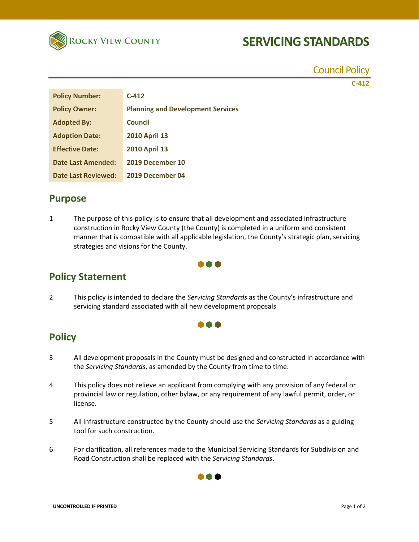

# **SERVICING STANDARDS**

Council Policy **C‐412**

| <b>Policy Number:</b>  | $C-412$                                  |
|------------------------|------------------------------------------|
| <b>Policy Owner:</b>   | <b>Planning and Development Services</b> |
| <b>Adopted By:</b>     | Council                                  |
| <b>Adoption Date:</b>  | <b>2010 April 13</b>                     |
| <b>Effective Date:</b> | <b>2010 April 13</b>                     |
| Date Last Amended:     | 2019 December 10                         |
| Date Last Reviewed:    | 2019 December 04                         |

#### **Purpose**

1 The purpose of this policy is to ensure that all development and associated infrastructure construction in Rocky View County (the County) is completed in a uniform and consistent manner that is compatible with all applicable legislation, the County's strategic plan, servicing strategies and visions for the County.



### **Policy Statement**

2 This policy is intended to declare the *Servicing Standards* as the County's infrastructure and servicing standard associated with all new development proposals

#### **. . .**

### **Policy**

- 3 All development proposals in the County must be designed and constructed in accordance with the *Servicing Standards*, as amended by the County from time to time.
- 4 This policy does not relieve an applicant from complying with any provision of any federal or provincial law or regulation, other bylaw, or any requirement of any lawful permit, order, or license.
- 5 All infrastructure constructed by the County should use the *Servicing Standards* as a guiding tool for such construction.
- 6 For clarification, all references made to the Municipal Servicing Standards for Subdivision and Road Construction shall be replaced with the *Servicing Standards*.